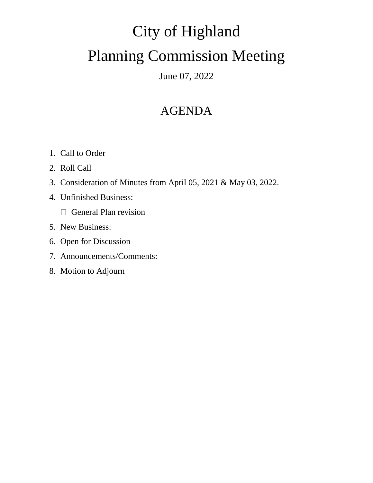# City of Highland Planning Commission Meeting

June 07, 2022

## AGENDA

- 1. Call to Order
- 2. Roll Call
- 3. Consideration of Minutes from April 05, 2021 & May 03, 2022.
- 4. Unfinished Business:
	- General Plan revision
- 5. New Business:
- 6. Open for Discussion
- 7. Announcements/Comments:
- 8. Motion to Adjourn